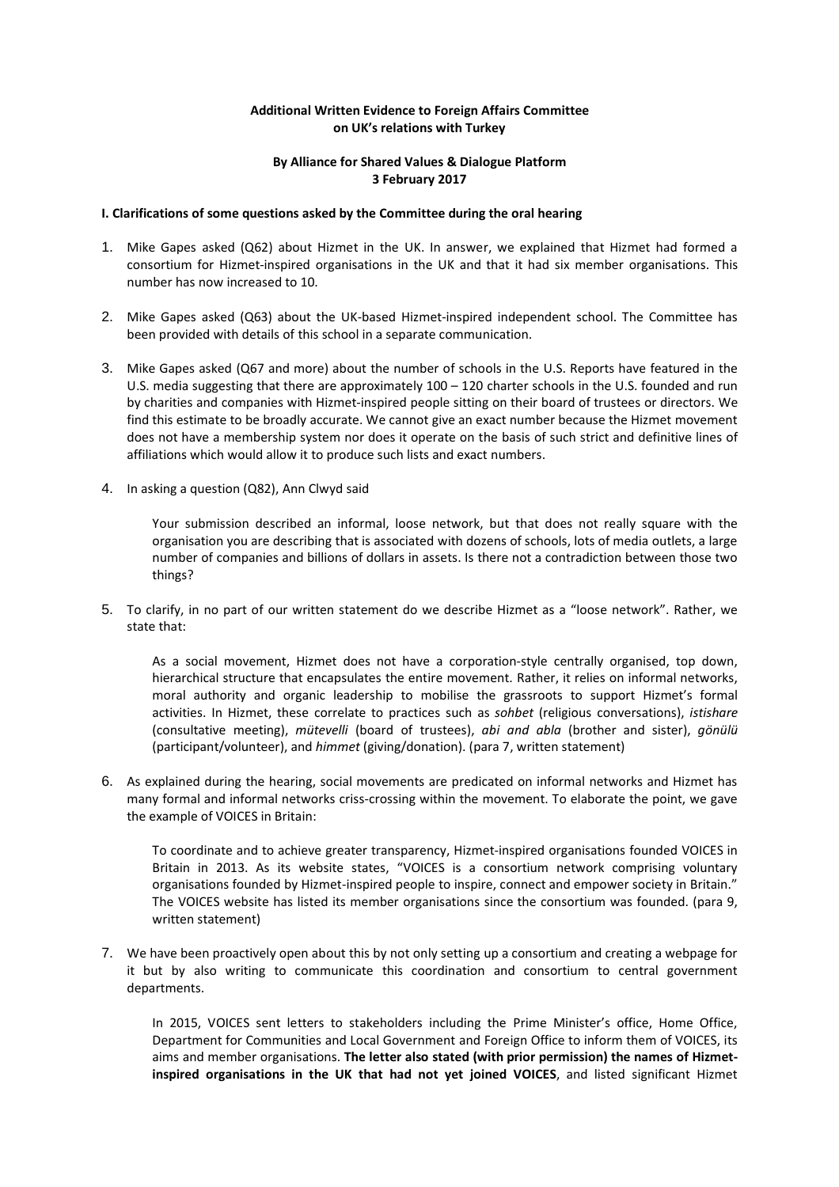## **Additional Written Evidence to Foreign Affairs Committee on UK's relations with Turkey**

## **By Alliance for Shared Values & Dialogue Platform 3 February 2017**

## **I. Clarifications of some questions asked by the Committee during the oral hearing**

- 1. Mike Gapes asked (Q62) about Hizmet in the UK. In answer, we explained that Hizmet had formed a consortium for Hizmet-inspired organisations in the UK and that it had six member organisations. This number has now increased to 10.
- 2. Mike Gapes asked (Q63) about the UK-based Hizmet-inspired independent school. The Committee has been provided with details of this school in a separate communication.
- 3. Mike Gapes asked (Q67 and more) about the number of schools in the U.S. Reports have featured in the U.S. media suggesting that there are approximately 100 – 120 charter schools in the U.S. founded and run by charities and companies with Hizmet-inspired people sitting on their board of trustees or directors. We find this estimate to be broadly accurate. We cannot give an exact number because the Hizmet movement does not have a membership system nor does it operate on the basis of such strict and definitive lines of affiliations which would allow it to produce such lists and exact numbers.
- 4. In asking a question (Q82), Ann Clwyd said

Your submission described an informal, loose network, but that does not really square with the organisation you are describing that is associated with dozens of schools, lots of media outlets, a large number of companies and billions of dollars in assets. Is there not a contradiction between those two things?

5. To clarify, in no part of our written statement do we describe Hizmet as a "loose network". Rather, we state that:

As a social movement, Hizmet does not have a corporation-style centrally organised, top down, hierarchical structure that encapsulates the entire movement. Rather, it relies on informal networks, moral authority and organic leadership to mobilise the grassroots to support Hizmet's formal activities. In Hizmet, these correlate to practices such as *sohbet* (religious conversations), *istishare* (consultative meeting), *mütevelli* (board of trustees), *abi and abla* (brother and sister), *gönülü* (participant/volunteer), and *himmet* (giving/donation). (para 7, written statement)

6. As explained during the hearing, social movements are predicated on informal networks and Hizmet has many formal and informal networks criss-crossing within the movement. To elaborate the point, we gave the example of VOICES in Britain:

To coordinate and to achieve greater transparency, Hizmet-inspired organisations founded VOICES in Britain in 2013. As its website states, "VOICES is a consortium network comprising voluntary organisations founded by Hizmet-inspired people to inspire, connect and empower society in Britain." The VOICES website has listed its member organisations since the consortium was founded. (para 9, written statement)

7. We have been proactively open about this by not only setting up a consortium and creating a webpage for it but by also writing to communicate this coordination and consortium to central government departments.

In 2015, VOICES sent letters to stakeholders including the Prime Minister's office, Home Office, Department for Communities and Local Government and Foreign Office to inform them of VOICES, its aims and member organisations. **The letter also stated (with prior permission) the names of Hizmetinspired organisations in the UK that had not yet joined VOICES**, and listed significant Hizmet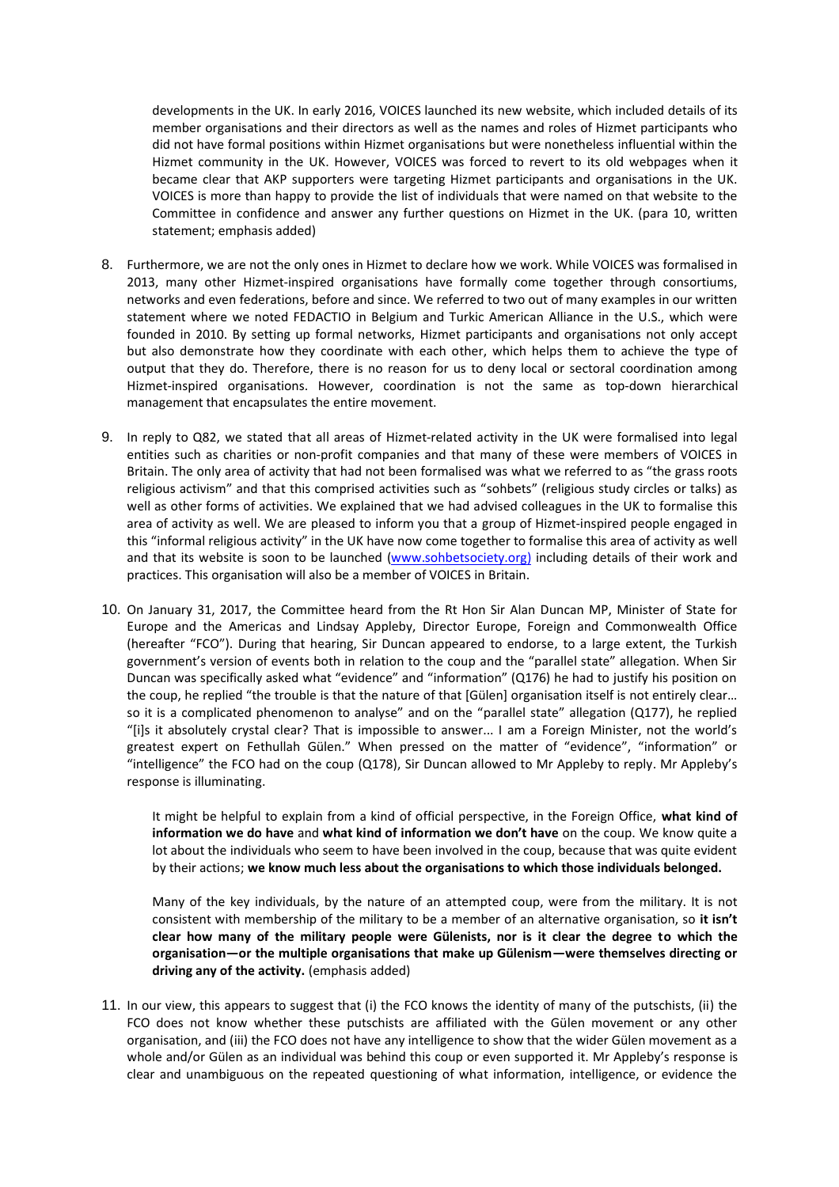developments in the UK. In early 2016, VOICES launched its new website, which included details of its member organisations and their directors as well as the names and roles of Hizmet participants who did not have formal positions within Hizmet organisations but were nonetheless influential within the Hizmet community in the UK. However, VOICES was forced to revert to its old webpages when it became clear that AKP supporters were targeting Hizmet participants and organisations in the UK. VOICES is more than happy to provide the list of individuals that were named on that website to the Committee in confidence and answer any further questions on Hizmet in the UK. (para 10, written statement; emphasis added)

- 8. Furthermore, we are not the only ones in Hizmet to declare how we work. While VOICES was formalised in 2013, many other Hizmet-inspired organisations have formally come together through consortiums, networks and even federations, before and since. We referred to two out of many examples in our written statement where we noted FEDACTIO in Belgium and Turkic American Alliance in the U.S., which were founded in 2010. By setting up formal networks, Hizmet participants and organisations not only accept but also demonstrate how they coordinate with each other, which helps them to achieve the type of output that they do. Therefore, there is no reason for us to deny local or sectoral coordination among Hizmet-inspired organisations. However, coordination is not the same as top-down hierarchical management that encapsulates the entire movement.
- 9. In reply to Q82, we stated that all areas of Hizmet-related activity in the UK were formalised into legal entities such as charities or non-profit companies and that many of these were members of VOICES in Britain. The only area of activity that had not been formalised was what we referred to as "the grass roots religious activism" and that this comprised activities such as "sohbets" (religious study circles or talks) as well as other forms of activities. We explained that we had advised colleagues in the UK to formalise this area of activity as well. We are pleased to inform you that a group of Hizmet-inspired people engaged in this "informal religious activity" in the UK have now come together to formalise this area of activity as well and that its website is soon to be launched [\(www.sohbetsociety.org\)](http://www.sohbetsociety.org)/) including details of their work and practices. This organisation will also be a member of VOICES in Britain.
- 10. On January 31, 2017, the Committee heard from the Rt Hon Sir Alan Duncan MP, Minister of State for Europe and the Americas and Lindsay Appleby, Director Europe, Foreign and Commonwealth Office (hereafter "FCO"). During that hearing, Sir Duncan appeared to endorse, to a large extent, the Turkish government's version of events both in relation to the coup and the "parallel state" allegation. When Sir Duncan was specifically asked what "evidence" and "information" (Q176) he had to justify his position on the coup, he replied "the trouble is that the nature of that [Gülen] organisation itself is not entirely clear… so it is a complicated phenomenon to analyse" and on the "parallel state" allegation (Q177), he replied "[i]s it absolutely crystal clear? That is impossible to answer... I am a Foreign Minister, not the world's greatest expert on Fethullah Gülen." When pressed on the matter of "evidence", "information" or "intelligence" the FCO had on the coup (Q178), Sir Duncan allowed to Mr Appleby to reply. Mr Appleby's response is illuminating.

It might be helpful to explain from a kind of official perspective, in the Foreign Office, **what kind of information we do have** and **what kind of information we don't have** on the coup. We know quite a lot about the individuals who seem to have been involved in the coup, because that was quite evident by their actions; **we know much less about the organisations to which those individuals belonged.**

Many of the key individuals, by the nature of an attempted coup, were from the military. It is not consistent with membership of the military to be a member of an alternative organisation, so **it isn't clear how many of the military people were Gülenists, nor is it clear the degree to which the organisation—or the multiple organisations that make up Gülenism—were themselves directing or driving any of the activity.** (emphasis added)

11. In our view, this appears to suggest that (i) the FCO knows the identity of many of the putschists, (ii) the FCO does not know whether these putschists are affiliated with the Gülen movement or any other organisation, and (iii) the FCO does not have any intelligence to show that the wider Gülen movement as a whole and/or Gülen as an individual was behind this coup or even supported it. Mr Appleby's response is clear and unambiguous on the repeated questioning of what information, intelligence, or evidence the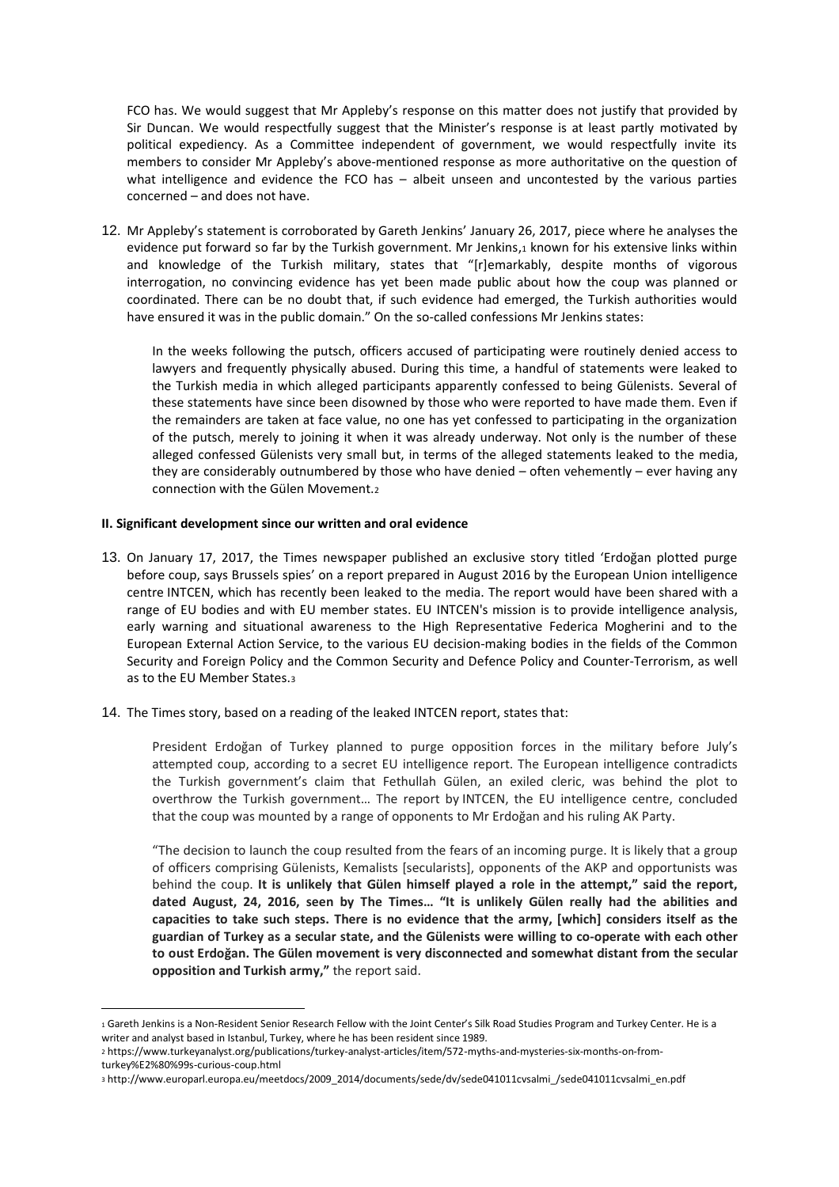FCO has. We would suggest that Mr Appleby's response on this matter does not justify that provided by Sir Duncan. We would respectfully suggest that the Minister's response is at least partly motivated by political expediency. As a Committee independent of government, we would respectfully invite its members to consider Mr Appleby's above-mentioned response as more authoritative on the question of what intelligence and evidence the FCO has – albeit unseen and uncontested by the various parties concerned – and does not have.

12. Mr Appleby's statement is corroborated by Gareth Jenkins' January 26, 2017, piece where he analyses the evidence put forward so far by the Turkish government. Mr Jenkins,1 known for his extensive links within and knowledge of the Turkish military, states that "[r]emarkably, despite months of vigorous interrogation, no convincing evidence has yet been made public about how the coup was planned or coordinated. There can be no doubt that, if such evidence had emerged, the Turkish authorities would have ensured it was in the public domain." On the so-called confessions Mr Jenkins states:

In the weeks following the putsch, officers accused of participating were routinely denied access to lawyers and frequently physically abused. During this time, a handful of statements were leaked to the Turkish media in which alleged participants apparently confessed to being Gülenists. Several of these statements have since been disowned by those who were reported to have made them. Even if the remainders are taken at face value, no one has yet confessed to participating in the organization of the putsch, merely to joining it when it was already underway. Not only is the number of these alleged confessed Gülenists very small but, in terms of the alleged statements leaked to the media, they are considerably outnumbered by those who have denied – often vehemently – ever having any connection with the Gülen Movement.<sup>2</sup>

## **II. Significant development since our written and oral evidence**

 $\overline{a}$ 

- 13. On January 17, 2017, the Times newspaper published an exclusive story titled 'Erdoğan plotted purge before coup, says Brussels spies' on a report prepared in August 2016 by the European Union intelligence centre INTCEN, which has recently been leaked to the media. The report would have been shared with a range of EU bodies and with EU member states. EU INTCEN's mission is to provide intelligence analysis, early warning and situational awareness to the High Representative Federica Mogherini and to the European External Action Service, to the various EU decision-making bodies in the fields of the Common Security and Foreign Policy and the Common Security and Defence Policy and Counter-Terrorism, as well as to the EU Member States.<sup>3</sup>
- 14. The Times story, based on a reading of the leaked INTCEN report, states that:

President Erdoğan of Turkey planned to purge opposition forces in the military before July's attempted coup, according to a secret EU intelligence report. The European intelligence contradicts the Turkish government's claim that Fethullah Gülen, an exiled cleric, was behind the plot to overthrow the Turkish government… The report by INTCEN, the EU intelligence centre, concluded that the coup was mounted by a range of opponents to Mr Erdoğan and his ruling AK Party.

"The decision to launch the coup resulted from the fears of an incoming purge. It is likely that a group of officers comprising Gülenists, Kemalists [secularists], opponents of the AKP and opportunists was behind the coup. **It is unlikely that Gülen himself played a role in the attempt," said the report, dated August, 24, 2016, seen by The Times… "It is unlikely Gülen really had the abilities and capacities to take such steps. There is no evidence that the army, [which] considers itself as the guardian of Turkey as a secular state, and the Gülenists were willing to co-operate with each other to oust Erdoğan. The Gülen movement is very disconnected and somewhat distant from the secular opposition and Turkish army,"** the report said.

<sup>1</sup> Gareth Jenkins is a Non-Resident Senior Research Fellow with the Joint Center's Silk Road Studies Program and Turkey Center. He is a writer and analyst based in Istanbul, Turkey, where he has been resident since 1989.

<sup>2</sup> https://www.turkeyanalyst.org/publications/turkey-analyst-articles/item/572-myths-and-mysteries-six-months-on-fromturkey%E2%80%99s-curious-coup.html

<sup>3</sup> http://www.europarl.europa.eu/meetdocs/2009\_2014/documents/sede/dv/sede041011cvsalmi\_/sede041011cvsalmi\_en.pdf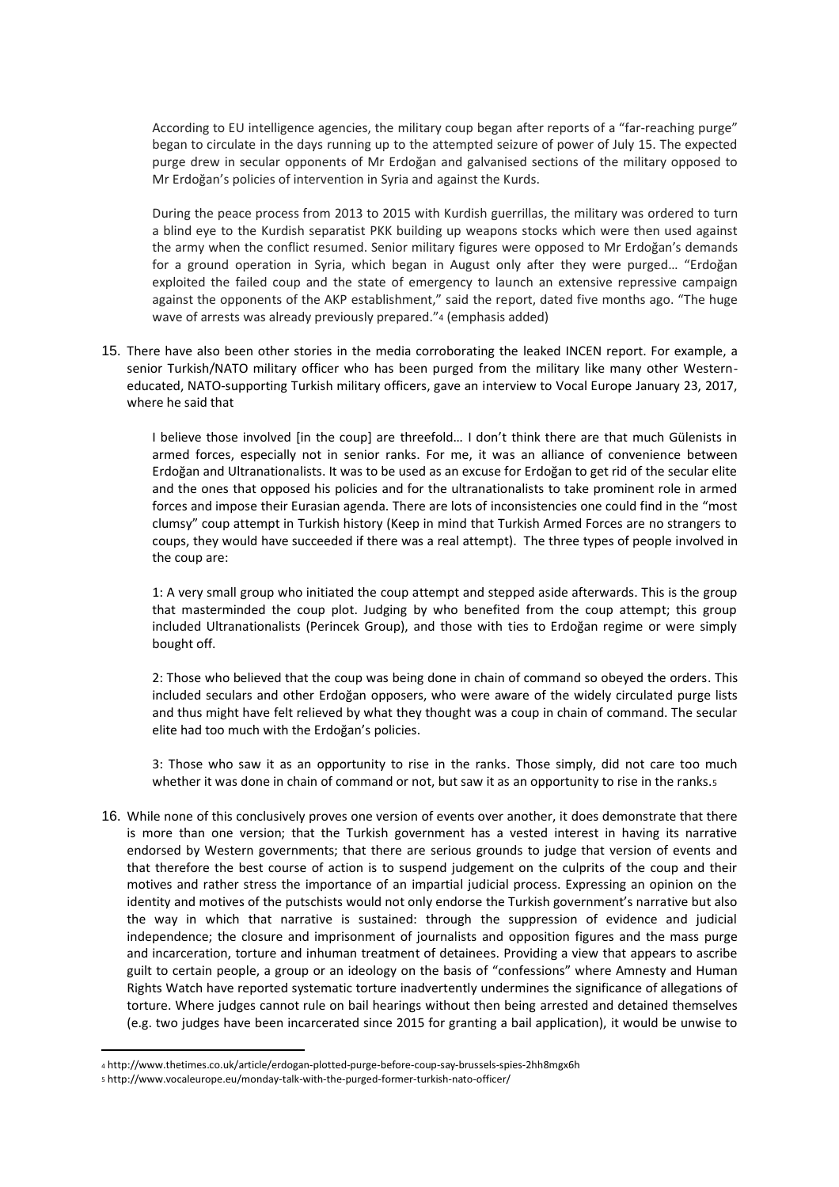According to EU intelligence agencies, the military coup began after reports of a "far-reaching purge" began to circulate in the days running up to the attempted seizure of power of July 15. The expected purge drew in secular opponents of Mr Erdoğan and galvanised sections of the military opposed to Mr Erdoğan's policies of intervention in Syria and against the Kurds.

During the peace process from 2013 to 2015 with Kurdish guerrillas, the military was ordered to turn a blind eye to the Kurdish separatist PKK building up weapons stocks which were then used against the army when the conflict resumed. Senior military figures were opposed to Mr Erdoğan's demands for a ground operation in Syria, which began in August only after they were purged… "Erdoğan exploited the failed coup and the state of emergency to launch an extensive repressive campaign against the opponents of the AKP establishment," said the report, dated five months ago. "The huge wave of arrests was already previously prepared."4 (emphasis added)

15. There have also been other stories in the media corroborating the leaked INCEN report. For example, a senior Turkish/NATO military officer who has been purged from the military like many other Westerneducated, NATO-supporting Turkish military officers, gave an interview to Vocal Europe January 23, 2017, where he said that

I believe those involved [in the coup] are threefold… I don't think there are that much Gülenists in armed forces, especially not in senior ranks. For me, it was an alliance of convenience between Erdoğan and Ultranationalists. It was to be used as an excuse for Erdoğan to get rid of the secular elite and the ones that opposed his policies and for the ultranationalists to take prominent role in armed forces and impose their Eurasian agenda. There are lots of inconsistencies one could find in the "most clumsy" coup attempt in Turkish history (Keep in mind that Turkish Armed Forces are no strangers to coups, they would have succeeded if there was a real attempt). The three types of people involved in the coup are:

1: A very small group who initiated the coup attempt and stepped aside afterwards. This is the group that masterminded the coup plot. Judging by who benefited from the coup attempt; this group included Ultranationalists (Perincek Group), and those with ties to Erdoğan regime or were simply bought off.

2: Those who believed that the coup was being done in chain of command so obeyed the orders. This included seculars and other Erdoğan opposers, who were aware of the widely circulated purge lists and thus might have felt relieved by what they thought was a coup in chain of command. The secular elite had too much with the Erdoğan's policies.

3: Those who saw it as an opportunity to rise in the ranks. Those simply, did not care too much whether it was done in chain of command or not, but saw it as an opportunity to rise in the ranks.<sub>5</sub>

16. While none of this conclusively proves one version of events over another, it does demonstrate that there is more than one version; that the Turkish government has a vested interest in having its narrative endorsed by Western governments; that there are serious grounds to judge that version of events and that therefore the best course of action is to suspend judgement on the culprits of the coup and their motives and rather stress the importance of an impartial judicial process. Expressing an opinion on the identity and motives of the putschists would not only endorse the Turkish government's narrative but also the way in which that narrative is sustained: through the suppression of evidence and judicial independence; the closure and imprisonment of journalists and opposition figures and the mass purge and incarceration, torture and inhuman treatment of detainees. Providing a view that appears to ascribe guilt to certain people, a group or an ideology on the basis of "confessions" where Amnesty and Human Rights Watch have reported systematic torture inadvertently undermines the significance of allegations of torture. Where judges cannot rule on bail hearings without then being arrested and detained themselves (e.g. two judges have been incarcerated since 2015 for granting a bail application), it would be unwise to

 $\overline{a}$ 

<sup>4</sup> http://www.thetimes.co.uk/article/erdogan-plotted-purge-before-coup-say-brussels-spies-2hh8mgx6h

<sup>5</sup> http://www.vocaleurope.eu/monday-talk-with-the-purged-former-turkish-nato-officer/